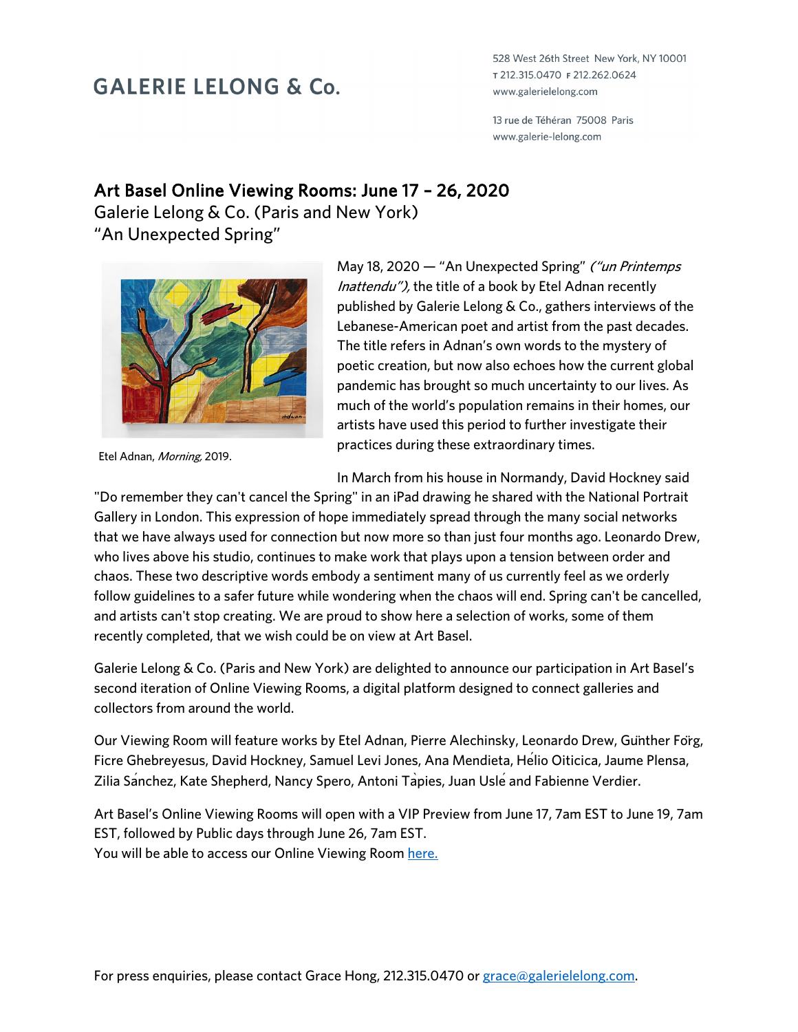## **GALERIE LELONG & Co.**

528 West 26th Street New York, NY 10001 т 212.315.0470 ғ 212.262.0624 www.galerielelong.com

13 rue de Téhéran 75008 Paris www.galerie-lelong.com

## Art Basel Online Viewing Rooms: June 17 – 26, 2020

Galerie Lelong & Co. (Paris and New York) "An Unexpected Spring"



Etel Adnan, Morning, 2019.

May 18, 2020 - "An Unexpected Spring" ("un Printemps Inattendu"), the title of a book by Etel Adnan recently published by Galerie Lelong & Co., gathers interviews of the Lebanese-American poet and artist from the past decades. The title refers in Adnan's own words to the mystery of poetic creation, but now also echoes how the current global pandemic has brought so much uncertainty to our lives. As much of the world's population remains in their homes, our artists have used this period to further investigate their practices during these extraordinary times.

In March from his house in Normandy, David Hockney said

"Do remember they can't cancel the Spring" in an iPad drawing he shared with the National Portrait Gallery in London. This expression of hope immediately spread through the many social networks that we have always used for connection but now more so than just four months ago. Leonardo Drew, who lives above his studio, continues to make work that plays upon a tension between order and chaos. These two descriptive words embody a sentiment many of us currently feel as we orderly follow guidelines to a safer future while wondering when the chaos will end. Spring can't be cancelled, and artists can't stop creating. We are proud to show here a selection of works, some of them recently completed, that we wish could be on view at Art Basel.

Galerie Lelong & Co. (Paris and New York) are delighted to announce our participation in Art Basel's second iteration of Online Viewing Rooms, a digital platform designed to connect galleries and collectors from around the world.

Our Viewing Room will feature works by Etel Adnan, Pierre Alechinsky, Leonardo Drew, Günther Förg, Ficre Ghebreyesus, David Hockney, Samuel Levi Jones, Ana Mendieta, Hélio Oiticica, Jaume Plensa, Zilia Sanchez, Kate Shepherd, Nancy Spero, Antoni Tapies, Juan Usle and Fabienne Verdier.

Art Basel's Online Viewing Rooms will open with a VIP Preview from June 17, 7am EST to June 19, 7am EST, followed by Public days through June 26, 7am EST. You will be able to access our Online Viewing Room here.